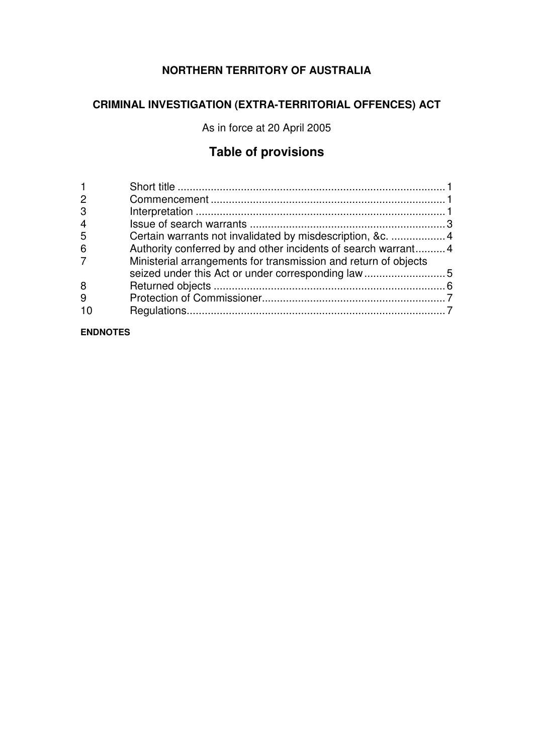# **NORTHERN TERRITORY OF AUSTRALIA**

# **CRIMINAL INVESTIGATION (EXTRA-TERRITORIAL OFFENCES) ACT**

As in force at 20 April 2005

# **Table of provisions**

| $\overline{2}$ |                                                                 |  |
|----------------|-----------------------------------------------------------------|--|
| 3              |                                                                 |  |
| $\overline{4}$ |                                                                 |  |
| 5              | Certain warrants not invalidated by misdescription, &c.  4      |  |
| 6              | Authority conferred by and other incidents of search warrant 4  |  |
| 7              | Ministerial arrangements for transmission and return of objects |  |
| 8              |                                                                 |  |
| 9              |                                                                 |  |
|                |                                                                 |  |

## **ENDNOTES**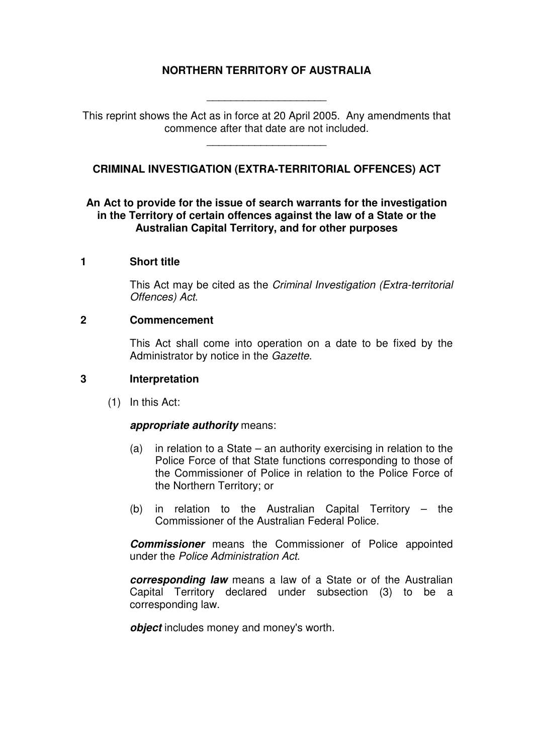# **NORTHERN TERRITORY OF AUSTRALIA**

This reprint shows the Act as in force at 20 April 2005. Any amendments that commence after that date are not included.

\_\_\_\_\_\_\_\_\_\_\_\_\_\_\_\_\_\_\_\_

\_\_\_\_\_\_\_\_\_\_\_\_\_\_\_\_\_\_\_\_

**CRIMINAL INVESTIGATION (EXTRA-TERRITORIAL OFFENCES) ACT** 

#### **An Act to provide for the issue of search warrants for the investigation in the Territory of certain offences against the law of a State or the Australian Capital Territory, and for other purposes**

#### **1 Short title**

This Act may be cited as the Criminal Investigation (Extra-territorial Offences) Act.

#### **2 Commencement**

This Act shall come into operation on a date to be fixed by the Administrator by notice in the Gazette.

## **3 Interpretation**

(1) In this Act:

#### **appropriate authority** means:

- (a) in relation to a State an authority exercising in relation to the Police Force of that State functions corresponding to those of the Commissioner of Police in relation to the Police Force of the Northern Territory; or
- (b) in relation to the Australian Capital Territory the Commissioner of the Australian Federal Police.

**Commissioner** means the Commissioner of Police appointed under the Police Administration Act.

**corresponding law** means a law of a State or of the Australian Capital Territory declared under subsection (3) to be a corresponding law.

*object* includes money and money's worth.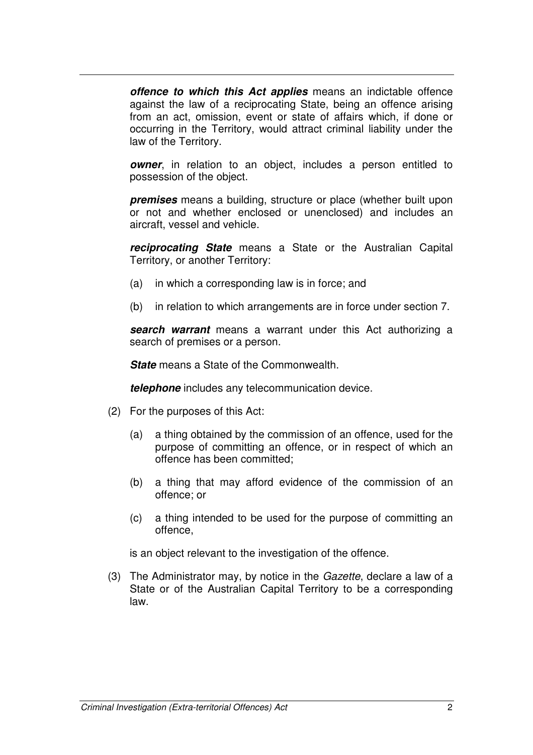**offence to which this Act applies** means an indictable offence against the law of a reciprocating State, being an offence arising from an act, omission, event or state of affairs which, if done or occurring in the Territory, would attract criminal liability under the law of the Territory.

**owner**, in relation to an object, includes a person entitled to possession of the object.

**premises** means a building, structure or place (whether built upon or not and whether enclosed or unenclosed) and includes an aircraft, vessel and vehicle.

**reciprocating State** means a State or the Australian Capital Territory, or another Territory:

- (a) in which a corresponding law is in force; and
- (b) in relation to which arrangements are in force under section 7.

**search warrant** means a warrant under this Act authorizing a search of premises or a person.

**State** means a State of the Commonwealth.

**telephone** includes any telecommunication device.

- (2) For the purposes of this Act:
	- (a) a thing obtained by the commission of an offence, used for the purpose of committing an offence, or in respect of which an offence has been committed;
	- (b) a thing that may afford evidence of the commission of an offence; or
	- (c) a thing intended to be used for the purpose of committing an offence,

is an object relevant to the investigation of the offence.

 (3) The Administrator may, by notice in the Gazette, declare a law of a State or of the Australian Capital Territory to be a corresponding law.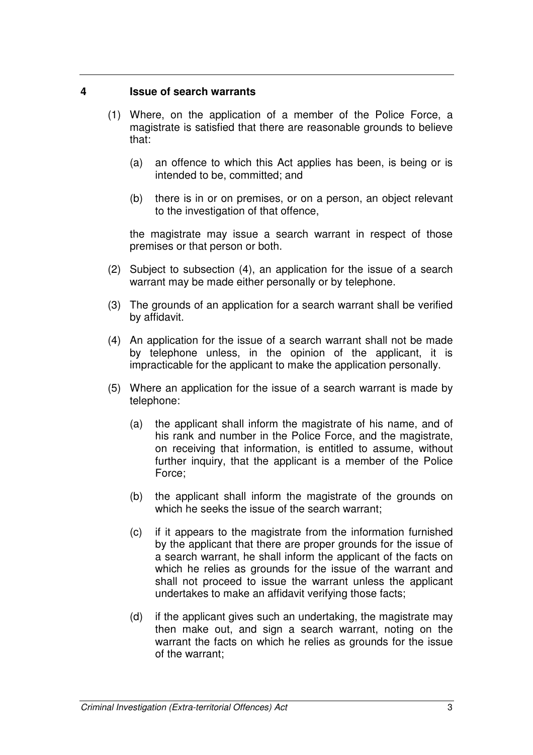## **4 Issue of search warrants**

- (1) Where, on the application of a member of the Police Force, a magistrate is satisfied that there are reasonable grounds to believe that:
	- (a) an offence to which this Act applies has been, is being or is intended to be, committed; and
	- (b) there is in or on premises, or on a person, an object relevant to the investigation of that offence,

the magistrate may issue a search warrant in respect of those premises or that person or both.

- (2) Subject to subsection (4), an application for the issue of a search warrant may be made either personally or by telephone.
- (3) The grounds of an application for a search warrant shall be verified by affidavit.
- (4) An application for the issue of a search warrant shall not be made by telephone unless, in the opinion of the applicant, it is impracticable for the applicant to make the application personally.
- (5) Where an application for the issue of a search warrant is made by telephone:
	- (a) the applicant shall inform the magistrate of his name, and of his rank and number in the Police Force, and the magistrate, on receiving that information, is entitled to assume, without further inquiry, that the applicant is a member of the Police Force;
	- (b) the applicant shall inform the magistrate of the grounds on which he seeks the issue of the search warrant;
	- (c) if it appears to the magistrate from the information furnished by the applicant that there are proper grounds for the issue of a search warrant, he shall inform the applicant of the facts on which he relies as grounds for the issue of the warrant and shall not proceed to issue the warrant unless the applicant undertakes to make an affidavit verifying those facts;
	- (d) if the applicant gives such an undertaking, the magistrate may then make out, and sign a search warrant, noting on the warrant the facts on which he relies as grounds for the issue of the warrant;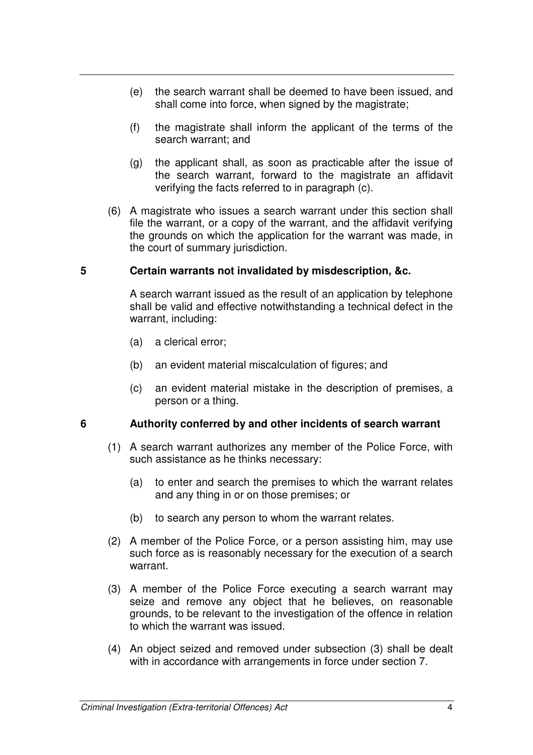- (e) the search warrant shall be deemed to have been issued, and shall come into force, when signed by the magistrate;
- (f) the magistrate shall inform the applicant of the terms of the search warrant; and
- (g) the applicant shall, as soon as practicable after the issue of the search warrant, forward to the magistrate an affidavit verifying the facts referred to in paragraph (c).
- (6) A magistrate who issues a search warrant under this section shall file the warrant, or a copy of the warrant, and the affidavit verifying the grounds on which the application for the warrant was made, in the court of summary jurisdiction.

## **5 Certain warrants not invalidated by misdescription, &c.**

A search warrant issued as the result of an application by telephone shall be valid and effective notwithstanding a technical defect in the warrant, including:

- (a) a clerical error;
- (b) an evident material miscalculation of figures; and
- (c) an evident material mistake in the description of premises, a person or a thing.

## **6 Authority conferred by and other incidents of search warrant**

- (1) A search warrant authorizes any member of the Police Force, with such assistance as he thinks necessary:
	- (a) to enter and search the premises to which the warrant relates and any thing in or on those premises; or
	- (b) to search any person to whom the warrant relates.
- (2) A member of the Police Force, or a person assisting him, may use such force as is reasonably necessary for the execution of a search warrant.
- (3) A member of the Police Force executing a search warrant may seize and remove any object that he believes, on reasonable grounds, to be relevant to the investigation of the offence in relation to which the warrant was issued.
- (4) An object seized and removed under subsection (3) shall be dealt with in accordance with arrangements in force under section 7.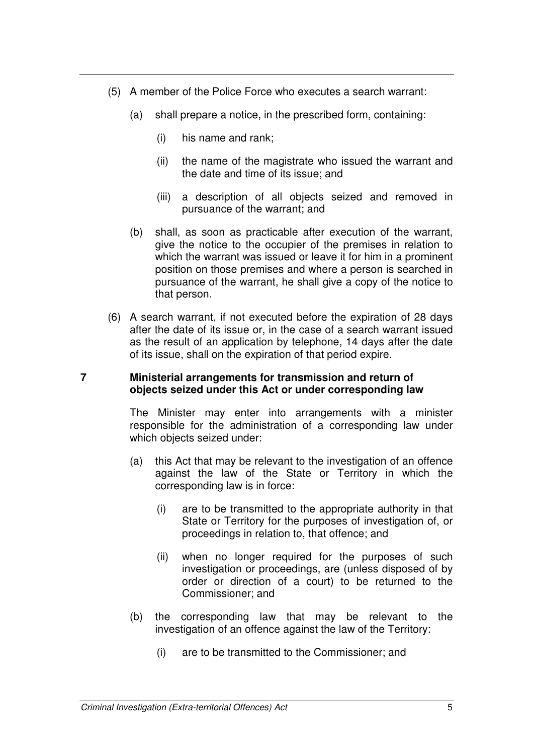- (5) A member of the Police Force who executes a search warrant:
	- (a) shall prepare a notice, in the prescribed form, containing:
		- (i) his name and rank;
		- (ii) the name of the magistrate who issued the warrant and the date and time of its issue; and
		- (iii) a description of all objects seized and removed in pursuance of the warrant; and
	- (b) shall, as soon as practicable after execution of the warrant, give the notice to the occupier of the premises in relation to which the warrant was issued or leave it for him in a prominent position on those premises and where a person is searched in pursuance of the warrant, he shall give a copy of the notice to that person.
- (6) A search warrant, if not executed before the expiration of 28 days after the date of its issue or, in the case of a search warrant issued as the result of an application by telephone, 14 days after the date of its issue, shall on the expiration of that period expire.

#### **7 Ministerial arrangements for transmission and return of objects seized under this Act or under corresponding law**

The Minister may enter into arrangements with a minister responsible for the administration of a corresponding law under which objects seized under:

- (a) this Act that may be relevant to the investigation of an offence against the law of the State or Territory in which the corresponding law is in force:
	- (i) are to be transmitted to the appropriate authority in that State or Territory for the purposes of investigation of, or proceedings in relation to, that offence; and
	- (ii) when no longer required for the purposes of such investigation or proceedings, are (unless disposed of by order or direction of a court) to be returned to the Commissioner; and
- (b) the corresponding law that may be relevant to the investigation of an offence against the law of the Territory:
	- (i) are to be transmitted to the Commissioner; and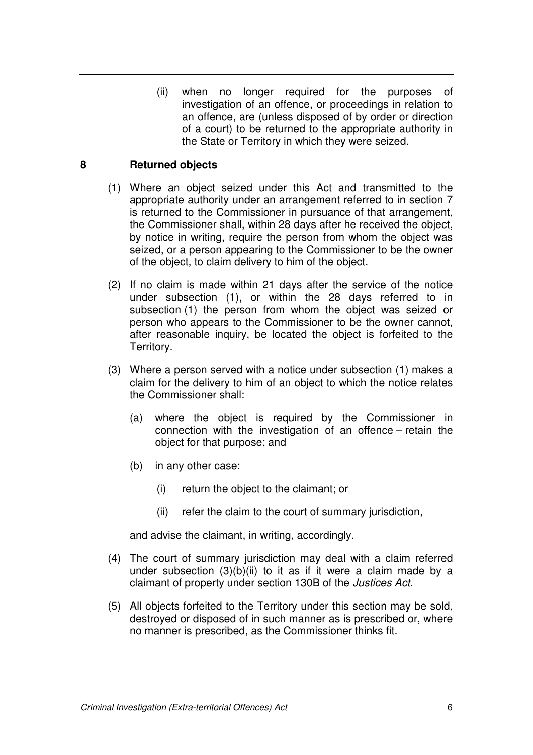(ii) when no longer required for the purposes of investigation of an offence, or proceedings in relation to an offence, are (unless disposed of by order or direction of a court) to be returned to the appropriate authority in the State or Territory in which they were seized.

## **8 Returned objects**

- (1) Where an object seized under this Act and transmitted to the appropriate authority under an arrangement referred to in section 7 is returned to the Commissioner in pursuance of that arrangement, the Commissioner shall, within 28 days after he received the object, by notice in writing, require the person from whom the object was seized, or a person appearing to the Commissioner to be the owner of the object, to claim delivery to him of the object.
- (2) If no claim is made within 21 days after the service of the notice under subsection (1), or within the 28 days referred to in subsection (1) the person from whom the object was seized or person who appears to the Commissioner to be the owner cannot, after reasonable inquiry, be located the object is forfeited to the Territory.
- (3) Where a person served with a notice under subsection (1) makes a claim for the delivery to him of an object to which the notice relates the Commissioner shall:
	- (a) where the object is required by the Commissioner in connection with the investigation of an offence – retain the object for that purpose; and
	- (b) in any other case:
		- (i) return the object to the claimant; or
		- (ii) refer the claim to the court of summary jurisdiction,

and advise the claimant, in writing, accordingly.

- (4) The court of summary jurisdiction may deal with a claim referred under subsection (3)(b)(ii) to it as if it were a claim made by a claimant of property under section 130B of the Justices Act.
- (5) All objects forfeited to the Territory under this section may be sold, destroyed or disposed of in such manner as is prescribed or, where no manner is prescribed, as the Commissioner thinks fit.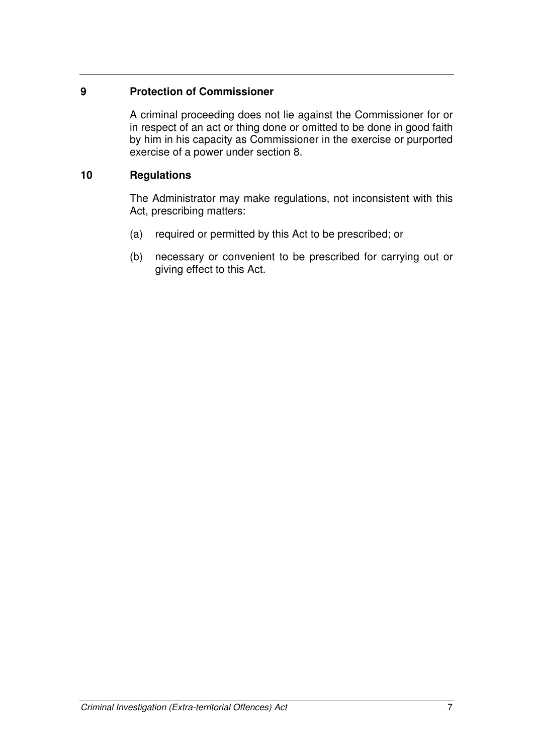## **9 Protection of Commissioner**

A criminal proceeding does not lie against the Commissioner for or in respect of an act or thing done or omitted to be done in good faith by him in his capacity as Commissioner in the exercise or purported exercise of a power under section 8.

# **10 Regulations**

The Administrator may make regulations, not inconsistent with this Act, prescribing matters:

- (a) required or permitted by this Act to be prescribed; or
- (b) necessary or convenient to be prescribed for carrying out or giving effect to this Act.